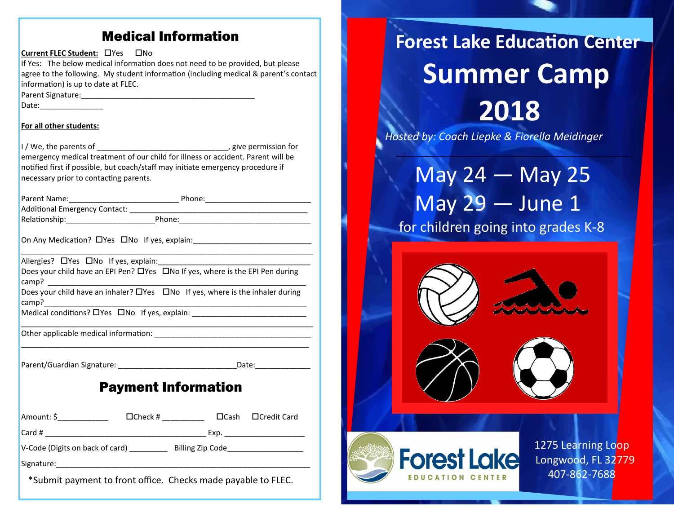## Medical Information

**Current FLEC Student: ONes ONO** If Yes: The below medical information does not need to be provided, but please agree to the following. My student information (including medical & parent's contact information) is up to date at FLEC. Parent Signature:\_\_\_\_\_\_\_\_\_\_\_\_\_\_\_\_\_\_\_\_\_\_\_\_\_\_\_\_\_\_\_\_\_\_\_\_\_\_\_\_\_ Date:\_\_\_\_\_\_\_\_\_\_\_\_\_\_\_ **For all other students:** I / We, the parents of  $\blacksquare$ emergency medical treatment of our child for illness or accident. Parent will be notified first if possible, but coach/staff may initiate emergency procedure if necessary prior to contacting parents. Parent Name:\_\_\_\_\_\_\_\_\_\_\_\_\_\_\_\_\_\_\_\_\_\_\_\_\_\_ Phone:\_\_\_\_\_\_\_\_\_\_\_\_\_\_\_\_\_\_\_\_\_\_\_\_\_ Additional Emergency Contact: \_\_\_\_\_\_\_\_\_\_\_\_\_\_\_\_\_\_\_\_\_\_\_\_\_\_\_\_\_\_\_\_\_\_\_\_\_\_\_\_\_\_ Relationship:\_\_\_\_\_\_\_\_\_\_\_\_\_\_\_\_\_\_\_\_\_\_\_\_\_\_\_\_\_\_Phone:\_\_\_\_\_\_\_\_\_\_\_\_\_\_\_\_\_\_\_\_\_\_\_\_\_\_\_\_\_\_\_\_ On Any Medication?  $\Box$  Yes  $\Box$  No If yes, explain:

\_\_\_\_\_\_\_\_\_\_\_\_\_\_\_\_\_\_\_\_\_\_\_\_\_\_\_\_\_\_\_\_\_\_\_\_\_\_\_\_\_\_\_\_\_\_\_\_\_\_\_\_\_\_\_\_\_\_\_\_\_\_\_\_\_\_\_\_\_ Allergies?  $\Box$  Yes  $\Box$  No If yes, explain: Does your child have an EPI Pen?  $\Box$  Yes  $\Box$  No If yes, where is the EPI Pen during camp? \_\_\_\_\_\_\_\_\_\_\_\_\_\_\_\_\_\_\_\_\_\_\_\_\_\_\_\_\_\_\_\_\_\_\_\_\_\_\_\_\_\_\_\_\_\_\_\_\_\_\_\_\_\_\_\_\_\_\_\_\_

Does your child have an inhaler?  $\Box$  Yes  $\Box$  No If yes, where is the inhaler during camp?\_\_\_\_\_\_\_\_\_\_\_\_\_\_\_\_\_\_\_\_\_\_\_\_\_\_\_\_\_\_\_\_\_\_\_\_\_\_\_\_\_\_\_\_\_\_\_\_\_\_\_\_\_\_\_\_\_\_\_\_\_\_

\_\_\_\_\_\_\_\_\_\_\_\_\_\_\_\_\_\_\_\_\_\_\_\_\_\_\_\_\_\_\_\_\_\_\_\_\_\_\_\_\_\_\_\_\_\_\_\_\_\_\_\_\_\_\_\_\_\_\_\_\_\_\_\_\_\_\_\_\_

\_\_\_\_\_\_\_\_\_\_\_\_\_\_\_\_\_\_\_\_\_\_\_\_\_\_\_\_\_\_\_\_\_\_\_\_\_\_\_\_\_\_\_\_\_\_\_\_\_\_\_\_\_\_\_\_\_\_\_\_\_\_\_\_\_\_\_\_

Medical conditions? Yes No If yes, explain: \_\_\_\_\_\_\_\_\_\_\_\_\_\_\_\_\_\_\_\_\_\_\_\_\_\_\_

Other applicable medical information:

Parent/Guardian Signature: \_\_\_\_\_\_\_\_\_\_\_\_\_\_\_\_\_\_\_\_\_\_\_\_\_\_\_\_Date:\_\_\_\_\_\_\_\_\_\_\_\_\_

# Payment Information

| Amount: \$                      | $\Box$ Check # |                  |  | $\Box$ Cash $\Box$ Credit Card |
|---------------------------------|----------------|------------------|--|--------------------------------|
| $\vert$ Card #                  |                | Exp.             |  |                                |
| V-Code (Digits on back of card) |                | Billing Zip Code |  |                                |
| Signature:                      |                |                  |  |                                |

\*Submit payment to front office. Checks made payable to FLEC.

# **Forest Lake Education Center Summer Camp 2018**

*Hosted by: Coach Liepke & Fiorella Meidinger*

 May 24 — May 25 May 29 — June 1 for children going into grades K-8